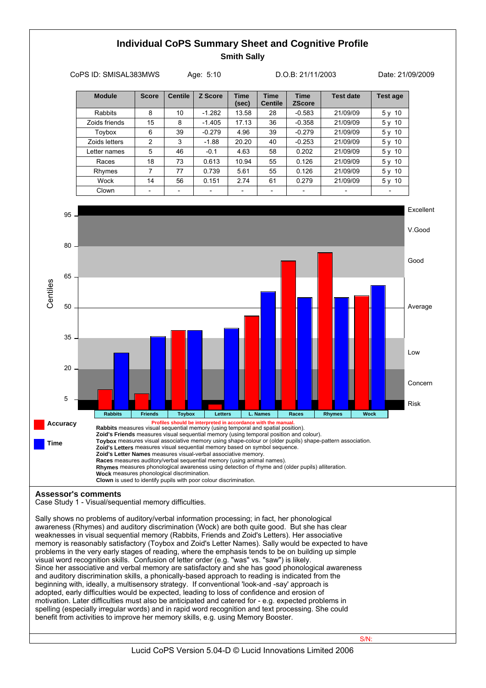## **Individual CoPS Summary Sheet and Cognitive Profile Smith Sally** CoPS ID: SMISAL383MWS Age: 5:10 D.O.B: 21/11/2003 Date: 21/09/2009





Case Study 1 - Visual/sequential memory difficulties.

Sally shows no problems of auditory/verbal information processing; in fact, her phonological awareness (Rhymes) and auditory discrimination (Wock) are both quite good. But she has clear weaknesses in visual sequential memory (Rabbits, Friends and Zoid's Letters). Her associative memory is reasonably satisfactory (Toybox and Zoid's Letter Names). Sally would be expected to have problems in the very early stages of reading, where the emphasis tends to be on building up simple visual word recognition skills. Confusion of letter order (e.g. "was" vs. "saw") is likely. Since her associative and verbal memory are satisfactory and she has good phonological awareness and auditory discrimination skills, a phonically-based approach to reading is indicated from the beginning with, ideally, a multisensory strategy. If conventional 'look-and -say' approach is adopted, early difficulties would be expected, leading to loss of confidence and erosion of motivation. Later difficulties must also be anticipated and catered for - e.g. expected problems in spelling (especially irregular words) and in rapid word recognition and text processing. She could benefit from activities to improve her memory skills, e.g. using Memory Booster.

Lucid CoPS Version 5.04-D © Lucid Innovations Limited 2006

S/N: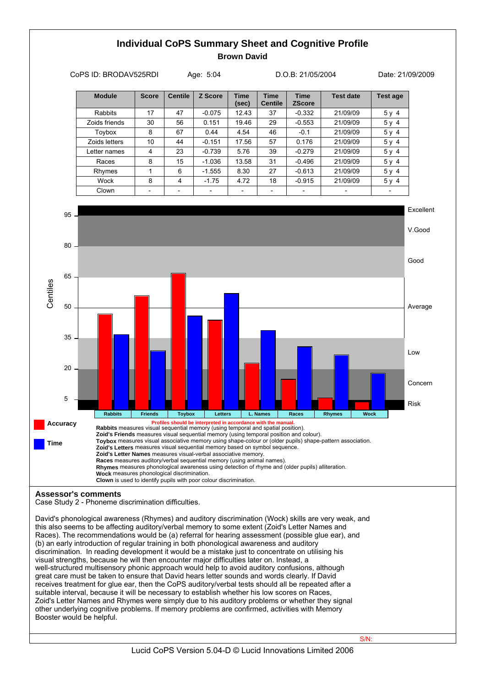## **Individual CoPS Summary Sheet and Cognitive Profile Brown David**



David's phonological awareness (Rhymes) and auditory discrimination (Wock) skills are very weak, and this also seems to be affecting auditory/verbal memory to some extent (Zoid's Letter Names and Races). The recommendations would be (a) referral for hearing assessment (possible glue ear), and (b) an early introduction of regular training in both phonological awareness and auditory discrimination. In reading development it would be a mistake just to concentrate on utilising his visual strengths, because he will then encounter major difficulties later on. Instead, a well-structured multisensory phonic approach would help to avoid auditory confusions, although great care must be taken to ensure that David hears letter sounds and words clearly. If David receives treatment for glue ear, then the CoPS auditory/verbal tests should all be repeated after a suitable interval, because it will be necessary to establish whether his low scores on Races, Zoid's Letter Names and Rhymes were simply due to his auditory problems or whether they signal other underlying cognitive problems. If memory problems are confirmed, activities with Memory Booster would be helpful.

S/N: